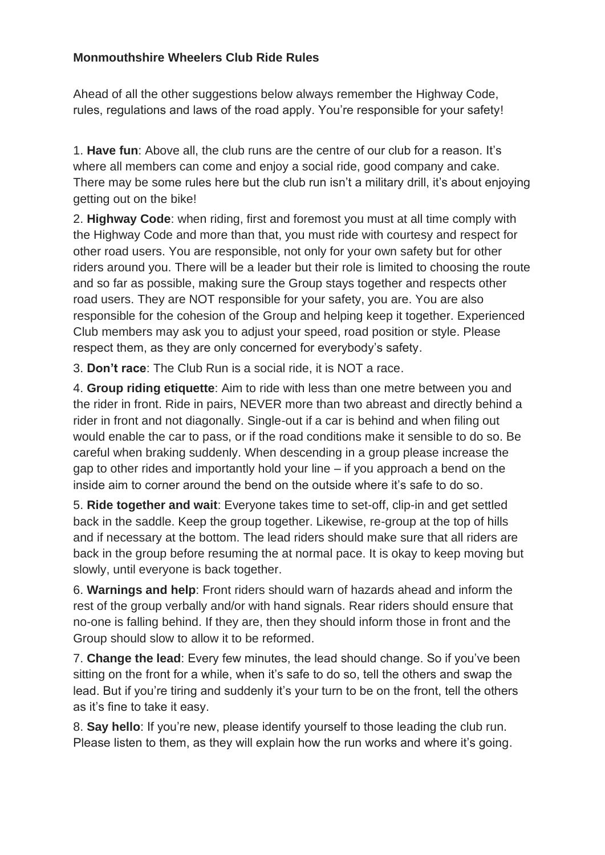# **Monmouthshire Wheelers Club Ride Rules**

Ahead of all the other suggestions below always remember the Highway Code, rules, regulations and laws of the road apply. You're responsible for your safety!

1. **Have fun**: Above all, the club runs are the centre of our club for a reason. It's where all members can come and enjoy a social ride, good company and cake. There may be some rules here but the club run isn't a military drill, it's about enjoying getting out on the bike!

2. **Highway Code**: when riding, first and foremost you must at all time comply with the Highway Code and more than that, you must ride with courtesy and respect for other road users. You are responsible, not only for your own safety but for other riders around you. There will be a leader but their role is limited to choosing the route and so far as possible, making sure the Group stays together and respects other road users. They are NOT responsible for your safety, you are. You are also responsible for the cohesion of the Group and helping keep it together. Experienced Club members may ask you to adjust your speed, road position or style. Please respect them, as they are only concerned for everybody's safety.

3. **Don't race**: The Club Run is a social ride, it is NOT a race.

4. **Group riding etiquette**: Aim to ride with less than one metre between you and the rider in front. Ride in pairs, NEVER more than two abreast and directly behind a rider in front and not diagonally. Single-out if a car is behind and when filing out would enable the car to pass, or if the road conditions make it sensible to do so. Be careful when braking suddenly. When descending in a group please increase the gap to other rides and importantly hold your line – if you approach a bend on the inside aim to corner around the bend on the outside where it's safe to do so.

5. **Ride together and wait**: Everyone takes time to set-off, clip-in and get settled back in the saddle. Keep the group together. Likewise, re-group at the top of hills and if necessary at the bottom. The lead riders should make sure that all riders are back in the group before resuming the at normal pace. It is okay to keep moving but slowly, until everyone is back together.

6. **Warnings and help**: Front riders should warn of hazards ahead and inform the rest of the group verbally and/or with hand signals. Rear riders should ensure that no-one is falling behind. If they are, then they should inform those in front and the Group should slow to allow it to be reformed.

7. **Change the lead**: Every few minutes, the lead should change. So if you've been sitting on the front for a while, when it's safe to do so, tell the others and swap the lead. But if you're tiring and suddenly it's your turn to be on the front, tell the others as it's fine to take it easy.

8. **Say hello**: If you're new, please identify yourself to those leading the club run. Please listen to them, as they will explain how the run works and where it's going.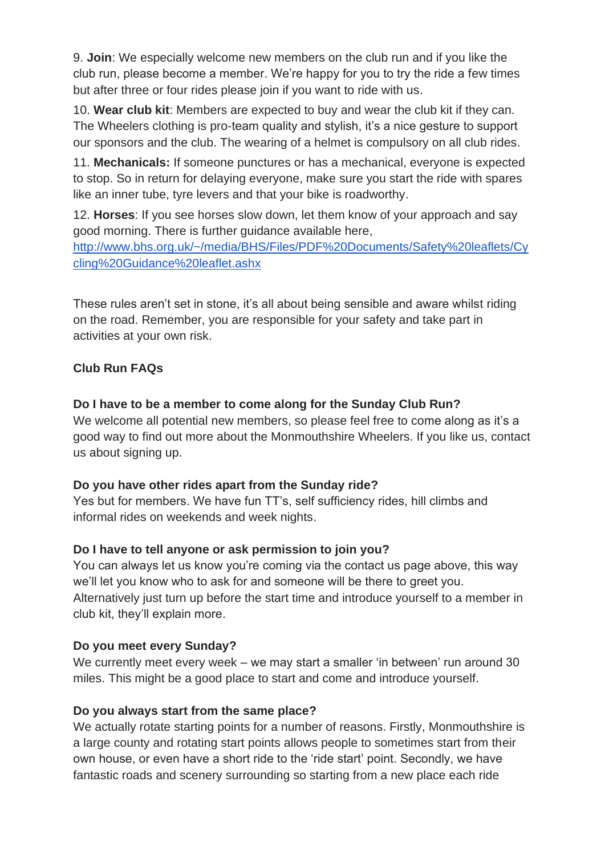9. **Join**: We especially welcome new members on the club run and if you like the club run, please become a member. We're happy for you to try the ride a few times but after three or four rides please join if you want to ride with us.

10. **Wear club kit**: Members are expected to buy and wear the club kit if they can. The Wheelers clothing is pro-team quality and stylish, it's a nice gesture to support our sponsors and the club. The wearing of a helmet is compulsory on all club rides.

11. **Mechanicals:** If someone punctures or has a mechanical, everyone is expected to stop. So in return for delaying everyone, make sure you start the ride with spares like an inner tube, tyre levers and that your bike is roadworthy.

12. **Horses**: If you see horses slow down, let them know of your approach and say good morning. There is further guidance available here, [http://www.bhs.org.uk/~/media/BHS/Files/PDF%20Documents/Safety%20leaflets/Cy](http://www.bhs.org.uk/~/media/BHS/Files/PDF%20Documents/Safety%20leaflets/Cycling%20Guidance%20leaflet.ashx) [cling%20Guidance%20leaflet.ashx](http://www.bhs.org.uk/~/media/BHS/Files/PDF%20Documents/Safety%20leaflets/Cycling%20Guidance%20leaflet.ashx)

These rules aren't set in stone, it's all about being sensible and aware whilst riding on the road. Remember, you are responsible for your safety and take part in activities at your own risk.

# **Club Run FAQs**

# **Do I have to be a member to come along for the Sunday Club Run?**

We welcome all potential new members, so please feel free to come along as it's a good way to find out more about the Monmouthshire Wheelers. If you like us, contact us about signing up.

# **Do you have other rides apart from the Sunday ride?**

Yes but for members. We have fun TT's, self sufficiency rides, hill climbs and informal rides on weekends and week nights.

# **Do I have to tell anyone or ask permission to join you?**

You can always let us know you're coming via the contact us page above, this way we'll let you know who to ask for and someone will be there to greet you. Alternatively just turn up before the start time and introduce yourself to a member in club kit, they'll explain more.

### **Do you meet every Sunday?**

We currently meet every week – we may start a smaller 'in between' run around 30 miles. This might be a good place to start and come and introduce yourself.

# **Do you always start from the same place?**

We actually rotate starting points for a number of reasons. Firstly, Monmouthshire is a large county and rotating start points allows people to sometimes start from their own house, or even have a short ride to the 'ride start' point. Secondly, we have fantastic roads and scenery surrounding so starting from a new place each ride